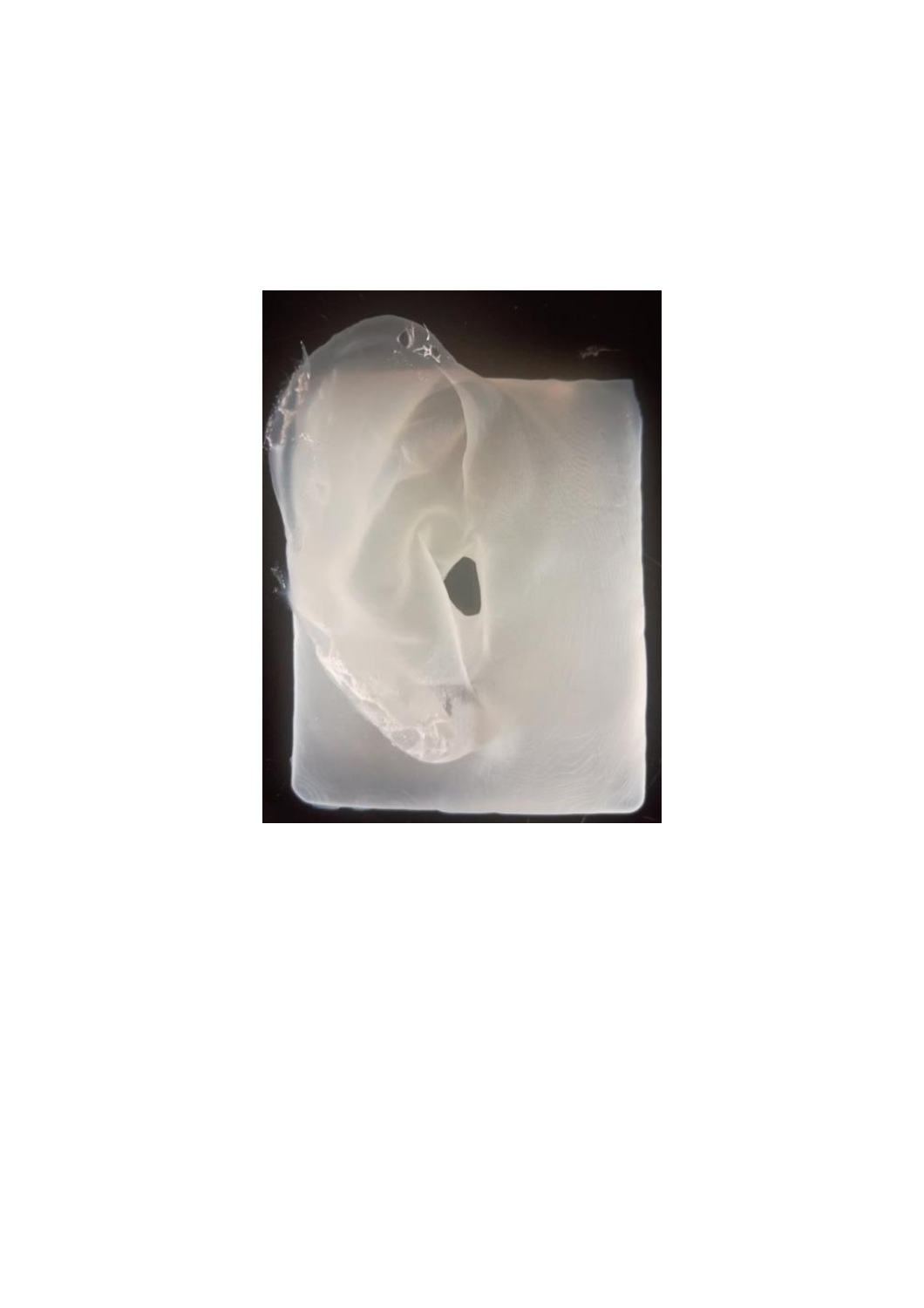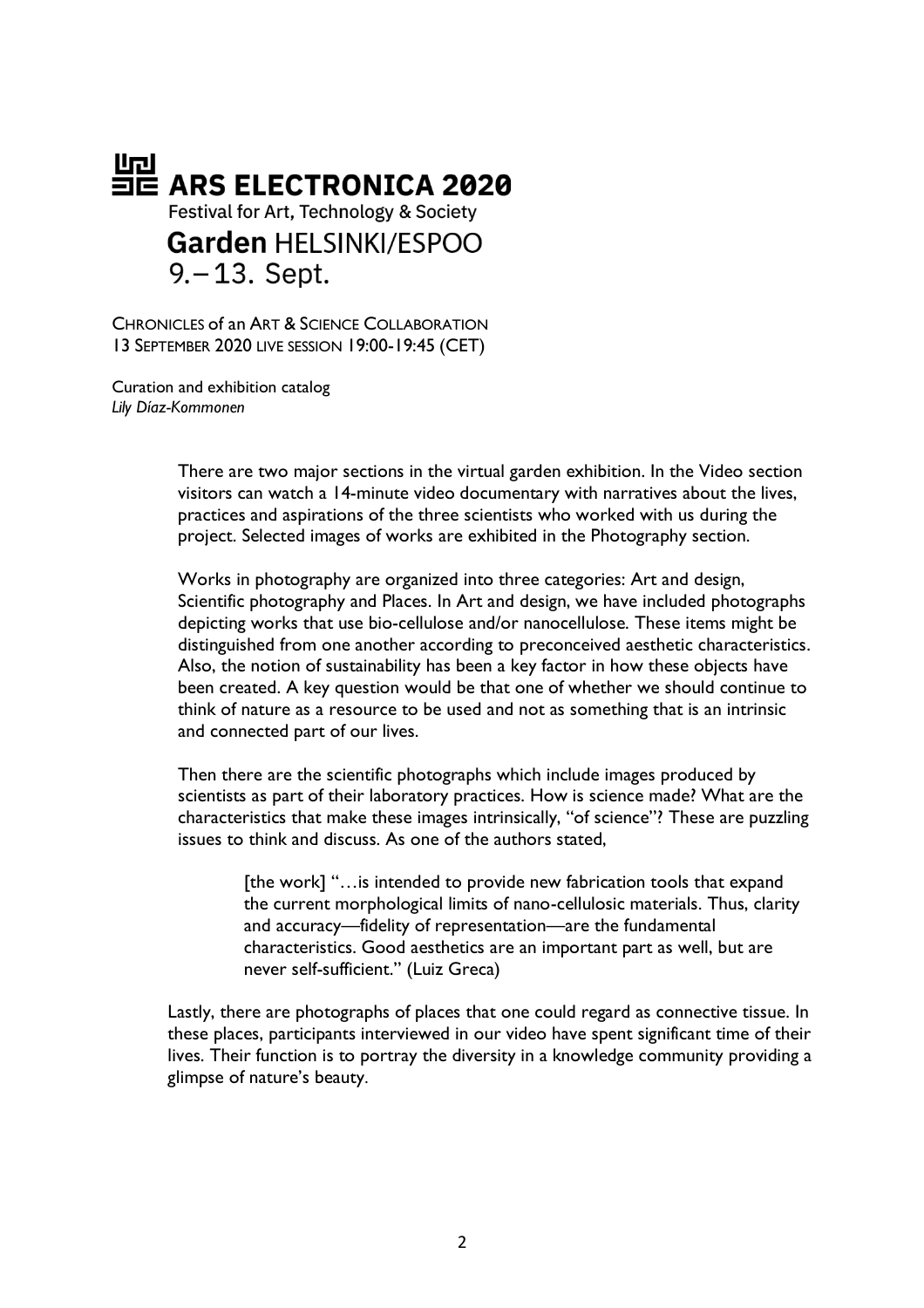

CHRONICLES of an ART & SCIENCE COLLABORATION 13 SEPTEMBER 2020 LIVE SESSION 19:00-19:45 (CET)

Curation and exhibition catalog *Lily Díaz-Kommonen*

> There are two major sections in the virtual garden exhibition. In the Video section visitors can watch a 14-minute video documentary with narratives about the lives, practices and aspirations of the three scientists who worked with us during the project. Selected images of works are exhibited in the Photography section.

Works in photography are organized into three categories: Art and design, Scientific photography and Places. In Art and design, we have included photographs depicting works that use bio-cellulose and/or nanocellulose. These items might be distinguished from one another according to preconceived aesthetic characteristics. Also, the notion of sustainability has been a key factor in how these objects have been created. A key question would be that one of whether we should continue to think of nature as a resource to be used and not as something that is an intrinsic and connected part of our lives.

Then there are the scientific photographs which include images produced by scientists as part of their laboratory practices. How is science made? What are the characteristics that make these images intrinsically, "of science"? These are puzzling issues to think and discuss. As one of the authors stated,

> [the work] "...is intended to provide new fabrication tools that expand the current morphological limits of nano-cellulosic materials. Thus, clarity and accuracy—fidelity of representation—are the fundamental characteristics. Good aesthetics are an important part as well, but are never self-sufficient." (Luiz Greca)

Lastly, there are photographs of places that one could regard as connective tissue. In these places, participants interviewed in our video have spent significant time of their lives. Their function is to portray the diversity in a knowledge community providing a glimpse of nature's beauty.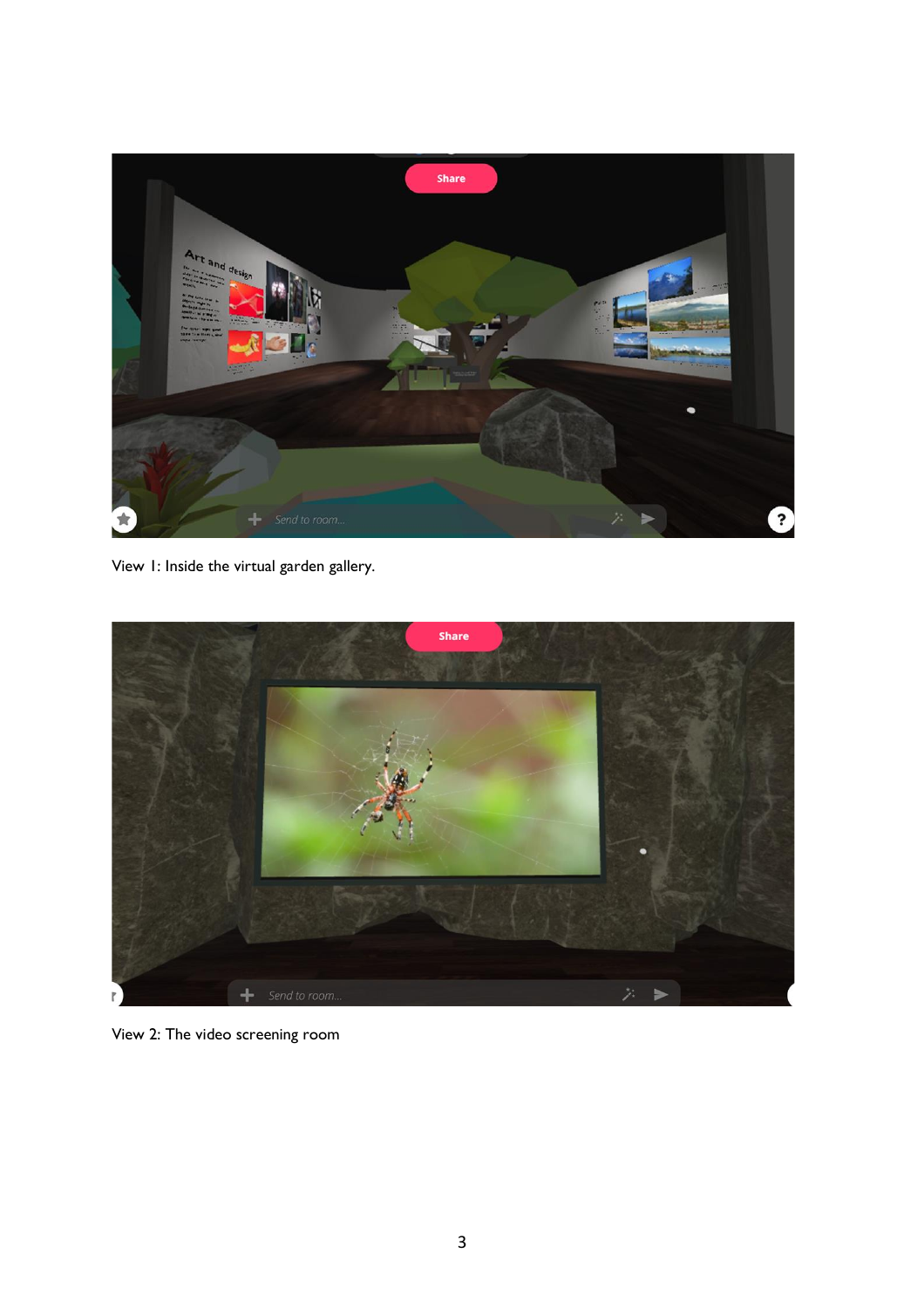

View 1: Inside the virtual garden gallery.



View 2: The video screening room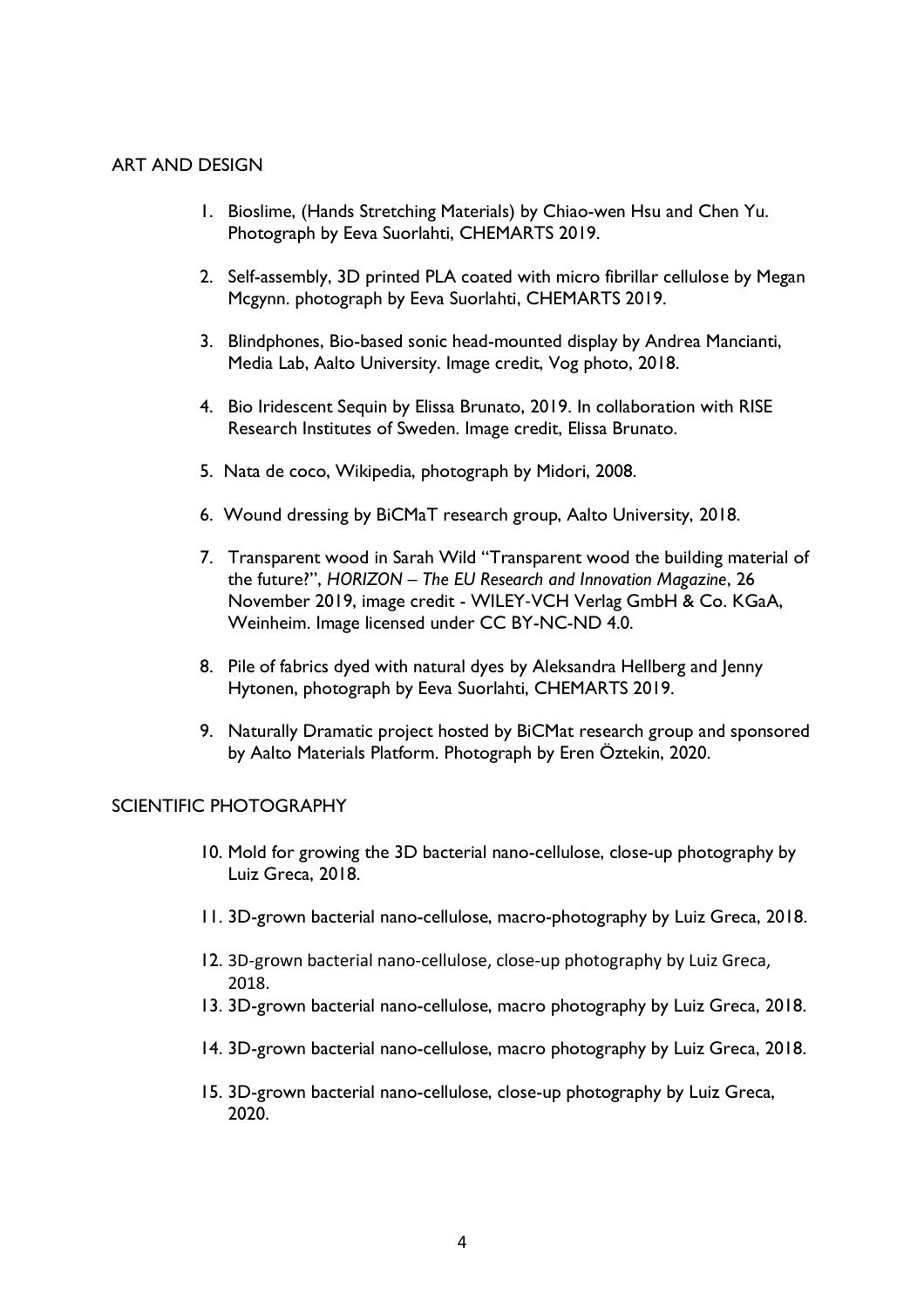# ART AND DESIGN

- 1. Bioslime, (Hands Stretching Materials) by Chiao-wen Hsu and Chen Yu. Photograph by Eeva Suorlahti, CHEMARTS 2019.
- 2. Self-assembly, 3D printed PLA coated with micro fibrillar cellulose by Megan Mcgynn. photograph by Eeva Suorlahti, CHEMARTS 2019.
- 3. Blindphones, Bio-based sonic head-mounted display by Andrea Mancianti, Media Lab, Aalto University. Image credit, Vog photo, 2018.
- 4. Bio Iridescent Sequin by Elissa Brunato, 2019. In collaboration with RISE Research Institutes of Sweden. Image credit, Elissa Brunato.
- 5. Nata de coco, Wikipedia, photograph by Midori, 2008.
- 6. Wound dressing by BiCMaT research group, Aalto University, 2018.
- 7. Transparent wood in Sarah Wild "Transparent wood the building material of the future?", *HORIZON – The EU Research and Innovation Magazine*, 26 November 2019, image credit - WILEY‐VCH Verlag GmbH & Co. KGaA, Weinheim. Image licensed under CC BY-NC-ND 4.0.
- 8. Pile of fabrics dyed with natural dyes by Aleksandra Hellberg and Jenny Hytonen, photograph by Eeva Suorlahti, CHEMARTS 2019.
- 9. Naturally Dramatic project hosted by BiCMat research group and sponsored by Aalto Materials Platform. Photograph by Eren Öztekin, 2020.

### SCIENTIFIC PHOTOGRAPHY

- 10. Mold for growing the 3D bacterial nano-cellulose, close-up photography by Luiz Greca, 2018.
- 11. 3D-grown bacterial nano-cellulose, macro-photography by Luiz Greca, 2018.
- 12. 3D-grown bacterial nano-cellulose, close-up photography by Luiz Greca, 2018.
- 13. 3D-grown bacterial nano-cellulose, macro photography by Luiz Greca, 2018.
- 14. 3D-grown bacterial nano-cellulose, macro photography by Luiz Greca, 2018.
- 15. 3D-grown bacterial nano-cellulose, close-up photography by Luiz Greca, 2020.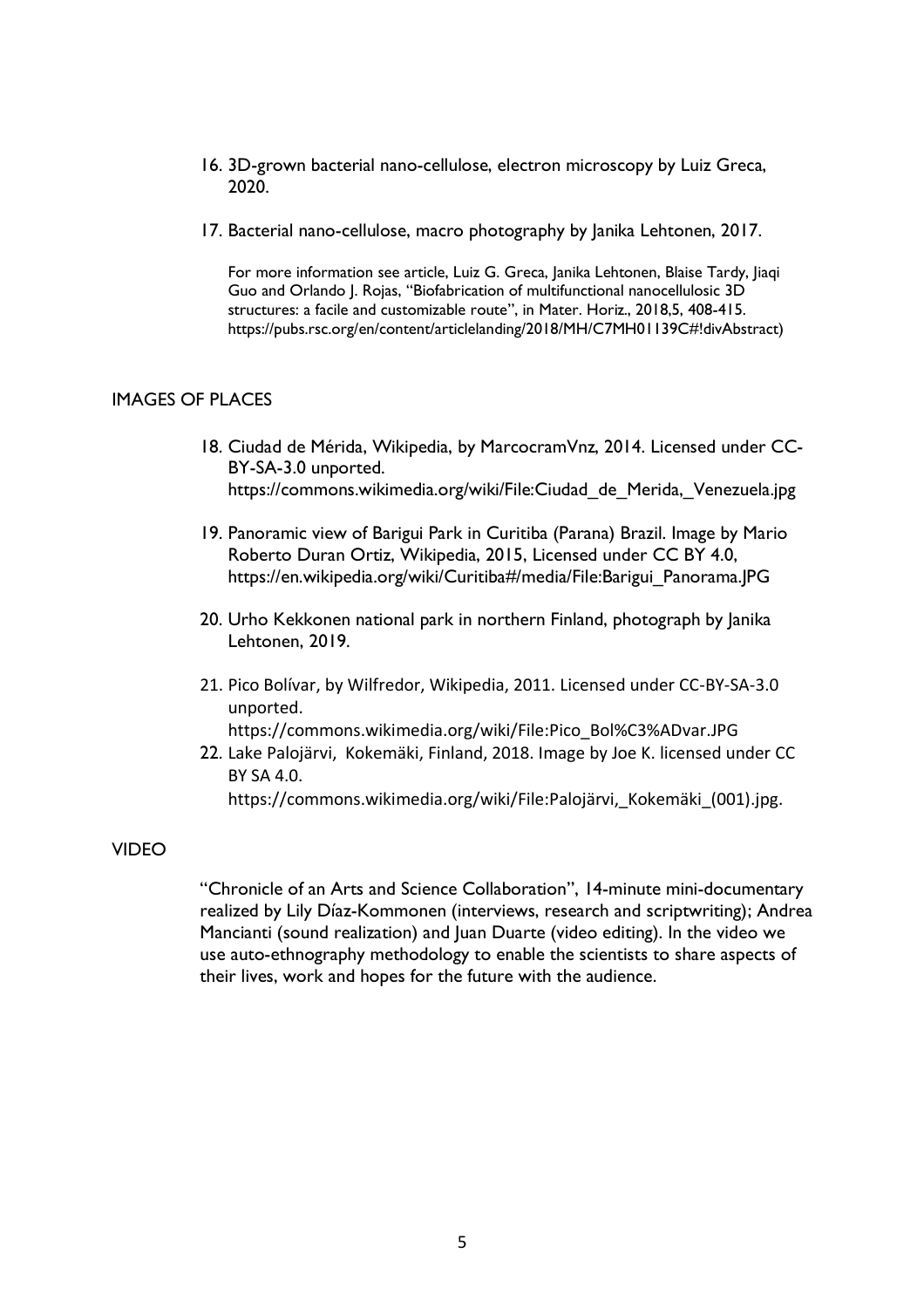- 16. 3D-grown bacterial nano-cellulose, electron microscopy by Luiz Greca, 2020.
- 17. Bacterial nano-cellulose, macro photography by Janika Lehtonen, 2017.

For more information see article, Luiz G. Greca, Janika Lehtonen, Blaise Tardy, Jiaqi Guo and Orlando J. Rojas, "Biofabrication of multifunctional nanocellulosic 3D structures: a facile and customizable route", in Mater. Horiz., 2018,5, 408-415. https://pubs.rsc.org/en/content/articlelanding/2018/MH/C7MH01139C#!divAbstract)

#### IMAGES OF PLACES

- 18. Ciudad de Mérida, Wikipedia, by MarcocramVnz, 2014. Licensed under CC-BY-SA-3.0 unported. https://commons.wikimedia.org/wiki/File:Ciudad\_de\_Merida,\_Venezuela.jpg
- 19. Panoramic view of Barigui Park in Curitiba (Parana) Brazil. Image by Mario Roberto Duran Ortiz, Wikipedia, 2015, Licensed under CC BY 4.0, https://en.wikipedia.org/wiki/Curitiba#/media/File:Barigui\_Panorama.JPG
- 20. Urho Kekkonen national park in northern Finland, photograph by Janika Lehtonen, 2019.
- 21. Pico Bolívar, by Wilfredor, Wikipedia, 2011. Licensed under CC-BY-SA-3.0 unported.

https://commons.wikimedia.org/wiki/File:Pico\_Bol%C3%ADvar.JPG

22. Lake Palojärvi, Kokemäki, Finland, 2018. Image by Joe K. licensed under CC BY SA 4.0. https://commons.wikimedia.org/wiki/File:Palojärvi, Kokemäki (001).jpg.

#### VIDEO

"Chronicle of an Arts and Science Collaboration", 14-minute mini-documentary realized by Lily Díaz-Kommonen (interviews, research and scriptwriting); Andrea Mancianti (sound realization) and Juan Duarte (video editing). In the video we use auto-ethnography methodology to enable the scientists to share aspects of their lives, work and hopes for the future with the audience.